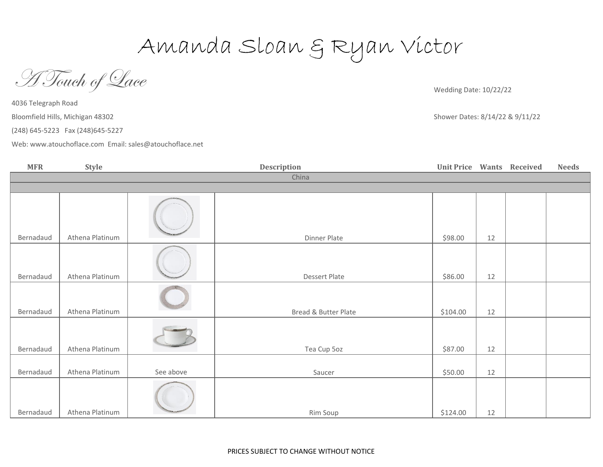Amanda Sloan & Ryan Victor

A Touch of Lace

Wedding Date: 10/22/22

Shower Dates: 8/14/22 & 9/11/22

4036 Telegraph Road Bloomfield Hills, Michigan 48302

(248) 645-5223 Fax (248)645-5227

[Web: www.atou](http://www.atouchoflace.com/)choflace.com Email: sales@atouchoflace.net

**MFR Style Wants Received Needs** Bernadaud Athena Platinum 12 Bernadaud Athena Platinum 12 Bernadaud Athena Platinum 12 Bread & Butter Plate \$104.00 Bernadaud Athena Platinum 12 Bernadaud Athena Platinum See above 12 Bernadaud Athena Platinum 12 China Dinner Plate 598.00 **Description** Dessert Plate and the set of the set of the set of the set of the set of the set of the set of the set of the set of the set of the set of the set of the set of the set of the set of the set of the set of the set of the se Tea Cup 5oz (387.00 Saucer Saucer Saucer Saucer Saucer Saucer Strategy Strategy Strategy Strategy Strategy Strategy Strategy Strategy Strategy Strategy Strategy Strategy Strategy Strategy Strategy Strategy Strategy Strategy Strategy Strategy Rim Soup 3124.00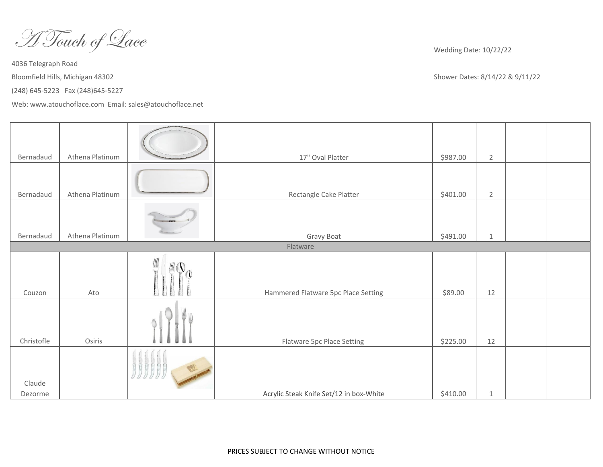A Touch of Lace

[Web: www.atou](http://www.atouchoflace.com/)choflace.com Email: sales@atouchoflace.net

Wedding Date: 10/22/22

| Bernadaud         | Athena Platinum |  | 17" Oval Platter                        | \$987.00 | $\overline{2}$ |  |  |
|-------------------|-----------------|--|-----------------------------------------|----------|----------------|--|--|
|                   |                 |  |                                         |          |                |  |  |
| Bernadaud         | Athena Platinum |  | Rectangle Cake Platter                  | \$401.00 | $\overline{2}$ |  |  |
|                   |                 |  |                                         |          |                |  |  |
| Bernadaud         | Athena Platinum |  | Gravy Boat                              | \$491.00 | $\mathbf{1}$   |  |  |
| Flatware          |                 |  |                                         |          |                |  |  |
| Couzon            | Ato             |  | Hammered Flatware 5pc Place Setting     | \$89.00  | 12             |  |  |
| Christofle        | Osiris          |  | Flatware 5pc Place Setting              | \$225.00 | 12             |  |  |
| Claude<br>Dezorme |                 |  | Acrylic Steak Knife Set/12 in box-White | \$410.00 | $\mathbf{1}$   |  |  |
|                   |                 |  |                                         |          |                |  |  |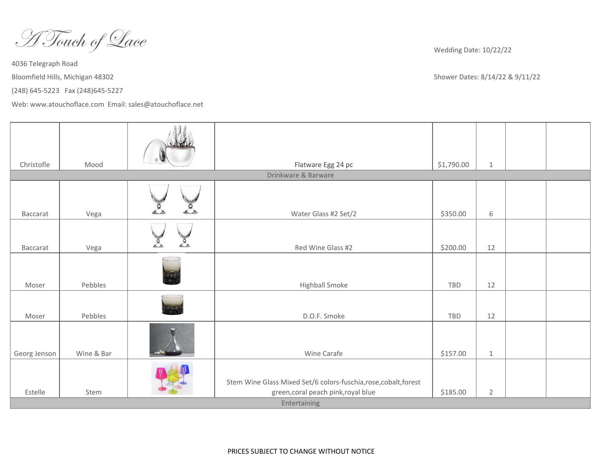A Touch of Lace

[Web: www.atou](http://www.atouchoflace.com/)choflace.com Email: sales@atouchoflace.net

Wedding Date: 10/22/22

| Christofle   | Mood       |                            | Flatware Egg 24 pc                                                                                      | \$1,790.00 | $\mathbf{1}$   |  |  |
|--------------|------------|----------------------------|---------------------------------------------------------------------------------------------------------|------------|----------------|--|--|
|              |            |                            | Drinkware & Barware                                                                                     |            |                |  |  |
| Baccarat     | Vega       | $\mathcal{E}_{\mathbf{z}}$ | Water Glass #2 Set/2                                                                                    | \$350.00   | 6              |  |  |
| Baccarat     | Vega       |                            | Red Wine Glass #2                                                                                       | \$200.00   | 12             |  |  |
| Moser        | Pebbles    |                            | Highball Smoke                                                                                          | TBD        | 12             |  |  |
| Moser        | Pebbles    |                            | D.O.F. Smoke                                                                                            | TBD        | 12             |  |  |
| Georg Jenson | Wine & Bar |                            | Wine Carafe                                                                                             | \$157.00   | $\mathbf 1$    |  |  |
| Estelle      | Stem       |                            | Stem Wine Glass Mixed Set/6 colors-fuschia, rose, cobalt, forest<br>green, coral peach pink, royal blue | \$185.00   | $\overline{2}$ |  |  |
| Entertaining |            |                            |                                                                                                         |            |                |  |  |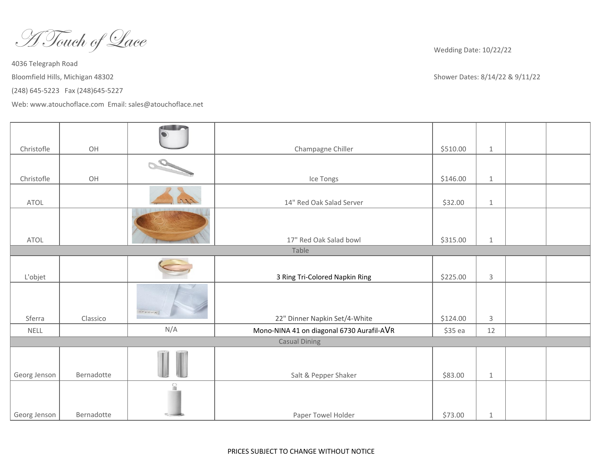A Touch of Lace

[Web: www.atou](http://www.atouchoflace.com/)choflace.com Email: sales@atouchoflace.net

Wedding Date: 10/22/22

| Christofle   | OH         |          | Champagne Chiller                         | \$510.00 | $\mathbf{1}$   |  |
|--------------|------------|----------|-------------------------------------------|----------|----------------|--|
| Christofle   | OH         |          | Ice Tongs                                 | \$146.00 | $1\,$          |  |
| <b>ATOL</b>  |            |          | 14" Red Oak Salad Server                  | \$32.00  | $\mathbf{1}$   |  |
|              |            |          |                                           |          |                |  |
| <b>ATOL</b>  |            |          | 17" Red Oak Salad bowl                    | \$315.00 | $\mathbf{1}$   |  |
|              |            |          | Table                                     |          |                |  |
| L'objet      |            |          | 3 Ring Tri-Colored Napkin Ring            | \$225.00 | $\mathsf 3$    |  |
| Sferra       | Classico   | SFERRA   | 22" Dinner Napkin Set/4-White             | \$124.00 | $\overline{3}$ |  |
| <b>NELL</b>  |            | N/A      | Mono-NINA 41 on diagonal 6730 Aurafil-AVR | \$35 ea  | 12             |  |
|              |            |          | <b>Casual Dining</b>                      |          |                |  |
|              |            |          |                                           |          |                |  |
| Georg Jenson | Bernadotte |          | Salt & Pepper Shaker                      | \$83.00  | $\,1\,$        |  |
|              |            | $\Omega$ |                                           |          |                |  |
| Georg Jenson | Bernadotte |          | Paper Towel Holder                        | \$73.00  | $\mathbf{1}$   |  |